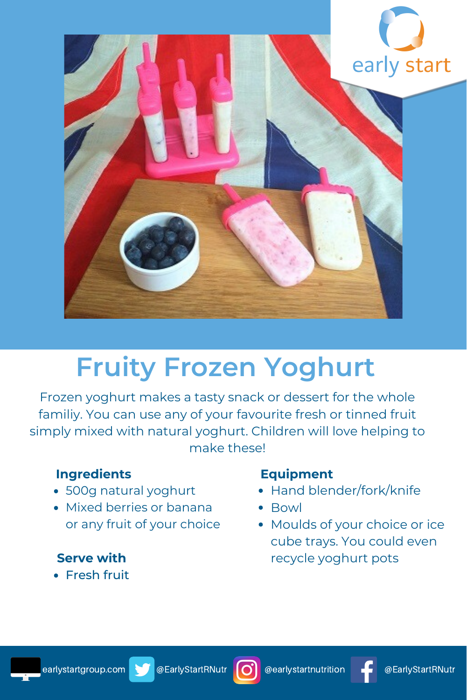



# **Fruity Frozen Yoghurt**

Frozen yoghurt makes a tasty snack or dessert for the whole familiy. You can use any of your favourite fresh or tinned fruit simply mixed with natural yoghurt. Children will love helping to make these!

# **Ingredients**

- 500g natural yoghurt
- Mixed berries or banana or any fruit of your choice

# **Serve with**

**• Fresh fruit** 

### **Equipment**

- Hand blender/fork/knife
- Bowl
- Moulds of your choice or ice cube trays. You could even recycle yoghurt pots